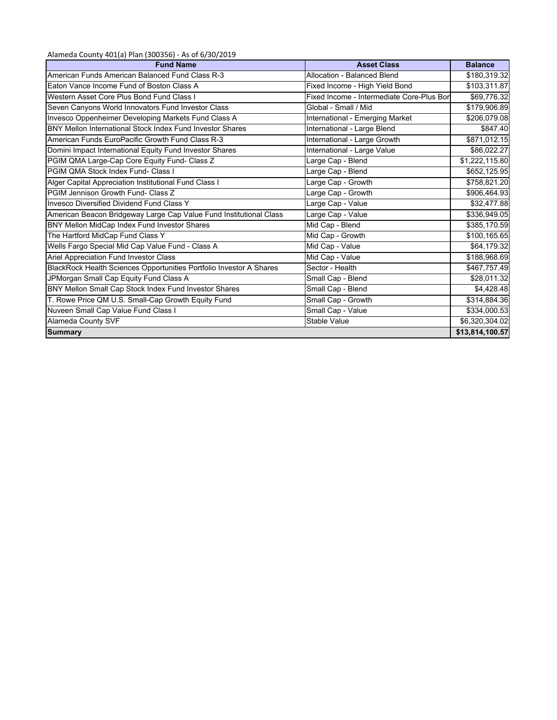Alameda County 401(a) Plan (300356) ‐ As of 6/30/2019

| <b>Fund Name</b>                                                    | <b>Asset Class</b>                        | <b>Balance</b>  |
|---------------------------------------------------------------------|-------------------------------------------|-----------------|
| American Funds American Balanced Fund Class R-3                     | Allocation - Balanced Blend               | \$180,319.32    |
| Eaton Vance Income Fund of Boston Class A                           | Fixed Income - High Yield Bond            | \$103,311.87    |
| Western Asset Core Plus Bond Fund Class I                           | Fixed Income - Intermediate Core-Plus Bon | \$69,776.32     |
| Seven Canyons World Innovators Fund Investor Class                  | Global - Small / Mid                      | \$179,906.89    |
| Invesco Oppenheimer Developing Markets Fund Class A                 | International - Emerging Market           | \$206,079.08    |
| BNY Mellon International Stock Index Fund Investor Shares           | International - Large Blend               | \$847.40        |
| American Funds EuroPacific Growth Fund Class R-3                    | International - Large Growth              | \$871,012.15    |
| Domini Impact International Equity Fund Investor Shares             | International - Large Value               | \$86,022.27     |
| PGIM QMA Large-Cap Core Equity Fund- Class Z                        | Large Cap - Blend                         | \$1,222,115.80  |
| PGIM QMA Stock Index Fund- Class I                                  | Large Cap - Blend                         | \$652,125.95    |
| Alger Capital Appreciation Institutional Fund Class I               | Large Cap - Growth                        | \$758,821.20    |
| PGIM Jennison Growth Fund- Class Z                                  | Large Cap - Growth                        | \$906,464.93    |
| Invesco Diversified Dividend Fund Class Y                           | Large Cap - Value                         | \$32,477.88     |
| American Beacon Bridgeway Large Cap Value Fund Institutional Class  | Large Cap - Value                         | \$336,949.05    |
| BNY Mellon MidCap Index Fund Investor Shares                        | Mid Cap - Blend                           | \$385,170.59    |
| The Hartford MidCap Fund Class Y                                    | Mid Cap - Growth                          | \$100,165.65    |
| Wells Fargo Special Mid Cap Value Fund - Class A                    | Mid Cap - Value                           | \$64,179.32     |
| Ariel Appreciation Fund Investor Class                              | Mid Cap - Value                           | \$188,968.69    |
| BlackRock Health Sciences Opportunities Portfolio Investor A Shares | Sector - Health                           | \$467,757.49    |
| JPMorgan Small Cap Equity Fund Class A                              | Small Cap - Blend                         | \$28,011.32     |
| BNY Mellon Small Cap Stock Index Fund Investor Shares               | Small Cap - Blend                         | \$4,428.48      |
| T. Rowe Price QM U.S. Small-Cap Growth Equity Fund                  | Small Cap - Growth                        | \$314,884.36    |
| Nuveen Small Cap Value Fund Class I                                 | Small Cap - Value                         | \$334,000.53    |
| Alameda County SVF                                                  | <b>Stable Value</b>                       | \$6,320,304.02  |
| <b>Summary</b>                                                      |                                           | \$13,814,100.57 |